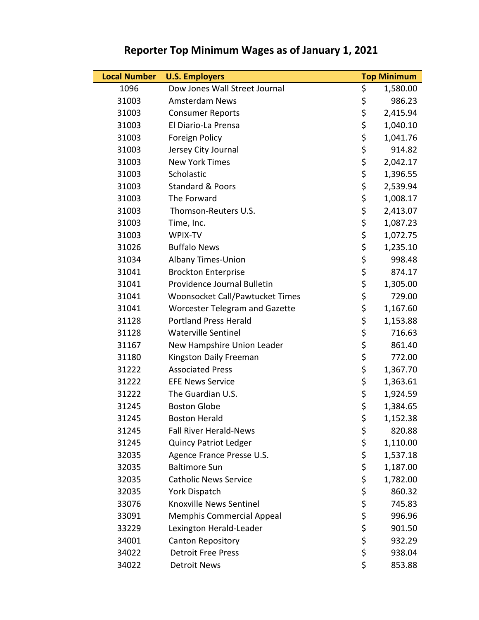## **Local Number U.S. Employers Top Minimum** 1096 Dow Jones Wall Street Journal 5 1,580.00 31003 Amsterdam News \$ 986.23 31003 Consumer Reports 6 2,415.94 31003 El Diario-La Prensa \$ 1,040.10 31003 Foreign Policy<br>31003 Jersey City Journal 5 914.82 31003 Jersey City Journal \$ 914.82 31003 New York Times \$ 2,042.17 31003 Scholastic \$ 1,396.55 31003 Standard & Poors \$ 2,539.94 31003 The Forward \$ 1,008.17 31003 Thomson-Reuters U.S. <br>31003 Time, Inc. <br>5 1,087.23 31003 Time, Inc. 6. 2010 1.087.23 31003 WPIX-TV \$ 1,072.75 31026 Buffalo News \$ 1,235.10 31034 Albany Times-Union \$ 998.48 31041 Brockton Enterprise \$ 874.17 31041 Providence Journal Bulletin <br>
S 1,305.00 31041 Woonsocket Call/Pawtucket Times \$ 729.00 31041 Worcester Telegram and Gazette 5 1,167.60 31128 Portland Press Herald \$ 1,153.88 31128 Waterville Sentinel \$ 716.63 31167 New Hampshire Union Leader \$ \$ 861.40 31180 Kingston Daily Freeman 5 5 772.00 31222 Associated Press 5 1,367.70 31222 EFE News Service <br>
\$ 1,363.61 31222 The Guardian U.S.  $\begin{array}{ccc} 3 & 3 & 1,924.59 \\ \end{array}$ 31245 Boston Globe \$ 1,384.65 31245 Boston Herald \$ 1,152.38 31245 Fall River Herald-News \$ 820.88 31245 Quincy Patriot Ledger \$ 1,110.00 32035 Agence France Presse U.S. <br>
\$ 1,537.18 32035 Baltimore Sun \$ 1,187.00 32035 Catholic News Service <br>
\$ 1,782.00 32035 York Dispatch \$ 860.32 33076 Knoxville News Sentinel **S** 5 745.83 33091 Memphis Commercial Appeal \$ 996.96 33229 Lexington Herald-Leader <br>
5 901.50 34001 Canton Repository **Sandala Canton Repository** School School State State State State State State State State State State State State State State State State State State State State State State State State State State 34022 Detroit Free Press \$ 938.04 34022 Detroit News 34022 Betroit News

## **Reporter Top Minimum Wages as of January 1, 2021**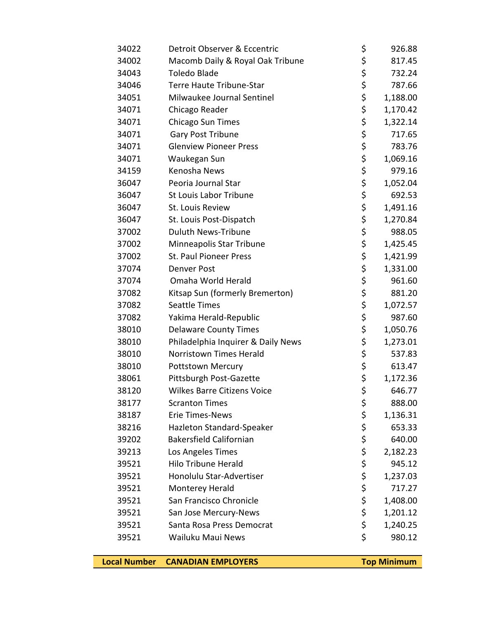| 34022 | Detroit Observer & Eccentric       | \$<br>926.88   |
|-------|------------------------------------|----------------|
| 34002 | Macomb Daily & Royal Oak Tribune   | \$<br>817.45   |
| 34043 | <b>Toledo Blade</b>                | \$<br>732.24   |
| 34046 | Terre Haute Tribune-Star           | \$<br>787.66   |
| 34051 | Milwaukee Journal Sentinel         | \$<br>1,188.00 |
| 34071 | Chicago Reader                     | \$<br>1,170.42 |
| 34071 | Chicago Sun Times                  | \$<br>1,322.14 |
| 34071 | Gary Post Tribune                  | \$<br>717.65   |
| 34071 | <b>Glenview Pioneer Press</b>      | \$<br>783.76   |
| 34071 | Waukegan Sun                       | \$<br>1,069.16 |
| 34159 | Kenosha News                       | \$<br>979.16   |
| 36047 | Peoria Journal Star                | \$<br>1,052.04 |
| 36047 | <b>St Louis Labor Tribune</b>      | \$<br>692.53   |
| 36047 | St. Louis Review                   | \$<br>1,491.16 |
| 36047 | St. Louis Post-Dispatch            | \$<br>1,270.84 |
| 37002 | <b>Duluth News-Tribune</b>         | \$<br>988.05   |
| 37002 | Minneapolis Star Tribune           | \$<br>1,425.45 |
| 37002 | <b>St. Paul Pioneer Press</b>      | \$<br>1,421.99 |
| 37074 | <b>Denver Post</b>                 | \$<br>1,331.00 |
| 37074 | Omaha World Herald                 | \$<br>961.60   |
| 37082 | Kitsap Sun (formerly Bremerton)    | \$<br>881.20   |
| 37082 | <b>Seattle Times</b>               | \$<br>1,072.57 |
| 37082 | Yakima Herald-Republic             | \$<br>987.60   |
| 38010 | <b>Delaware County Times</b>       | \$<br>1,050.76 |
| 38010 | Philadelphia Inquirer & Daily News | \$<br>1,273.01 |
| 38010 | Norristown Times Herald            | \$<br>537.83   |
| 38010 | <b>Pottstown Mercury</b>           | \$<br>613.47   |
| 38061 | Pittsburgh Post-Gazette            | \$<br>1,172.36 |
| 38120 | <b>Wilkes Barre Citizens Voice</b> | \$<br>646.77   |
| 38177 | <b>Scranton Times</b>              | \$<br>888.00   |
| 38187 | <b>Erie Times-News</b>             | \$<br>1,136.31 |
| 38216 | Hazleton Standard-Speaker          | \$<br>653.33   |
| 39202 | <b>Bakersfield Californian</b>     | \$<br>640.00   |
| 39213 | Los Angeles Times                  | \$<br>2,182.23 |
| 39521 | <b>Hilo Tribune Herald</b>         | \$<br>945.12   |
| 39521 | Honolulu Star-Advertiser           | \$<br>1,237.03 |
| 39521 | Monterey Herald                    | \$<br>717.27   |
| 39521 | San Francisco Chronicle            | \$<br>1,408.00 |
| 39521 | San Jose Mercury-News              | \$<br>1,201.12 |
| 39521 | Santa Rosa Press Democrat          | \$<br>1,240.25 |
| 39521 | Wailuku Maui News                  | \$<br>980.12   |

**Local Number CANADIAN EMPLOYERS Top Minimum**